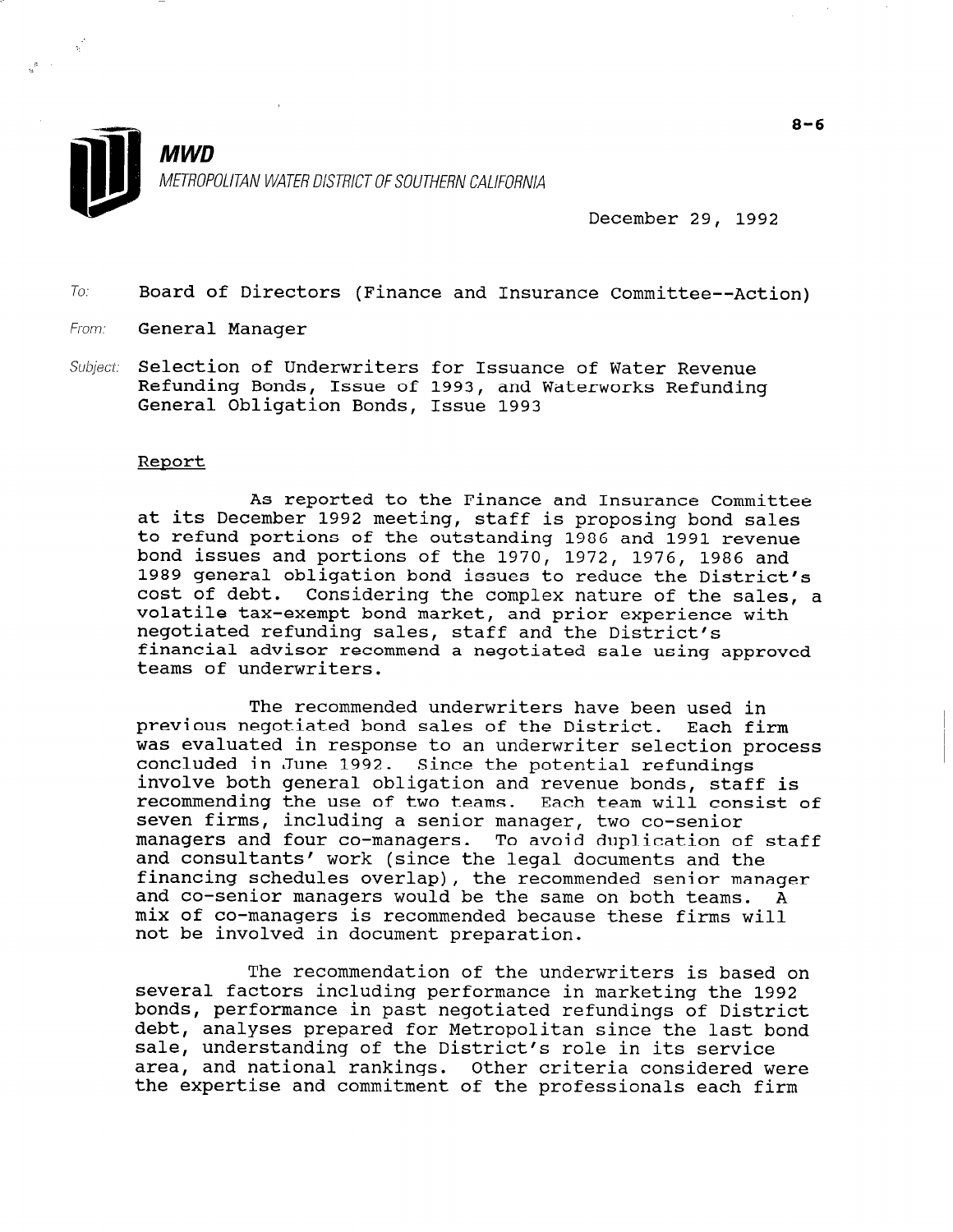

December 29, 1992

To: Board of Directors (Finance and Insurance Committee--Action)

- From: **General Manager**
- Subject: Selection of Underwriters for Issuance of Water Revenue Refunding Bonds, Issue of 1993, and Waterworks Refunding General Obligation Bonds, Issue 1993

### Report

As reported to the Finance and Insurance Committee at its December 1992 meeting, staff is proposing bond sales to refund portions of the outstanding 1986 and 1991 revenue bond issues and portions of the 1970, 1972, 1976, 1986 and 1989 general obligation bond issues to reduce the District's cost of debt. Considering the complex nature of the sales, a volatile tax-exempt bond market, and prior experience with negotiated refunding sales, staff and the District's financial advisor recommend a negotiated sale using approved teams of underwriters.

The recommended underwriters have been used in previous negotiated bond sales of the District. Each firm was evaluated in response to an underwriter selection process was evaluated in response to an underwriter selection concruded in oune 1992. Since the potential refundings recommending the use of two teams. Each team will consist of secommending the use of two teams. Each team will derive the senior manager of the senior seven firms, including a senior manager, two co-senior<br>managers and four co-managers. To avoid duplication of staff and consultants' work (since the legal documents and the financing schedules overlap), the recommended senior manager rinancing schedules overlap), the recommended senior manage and co-senior managers would be the same on both teams. A mix of co-managers is recommended because these firms will not be involved in document preparation.

 $\mathbb{F}_{p}$  recommendation of the underwriters is based on  $\mathbb{F}_{p}$ sexted factors including performance in marketing performance in marketing the 1992. several factors including performance in marketing the 1992 bonds, performance in past negotiated refundings of District debt, analyses prepared for Metropolitan since the last bond sale, understanding of the District's role in its service area, and national rankings. Other criteria considered were<br>the expertise and commitment of the professionals each firm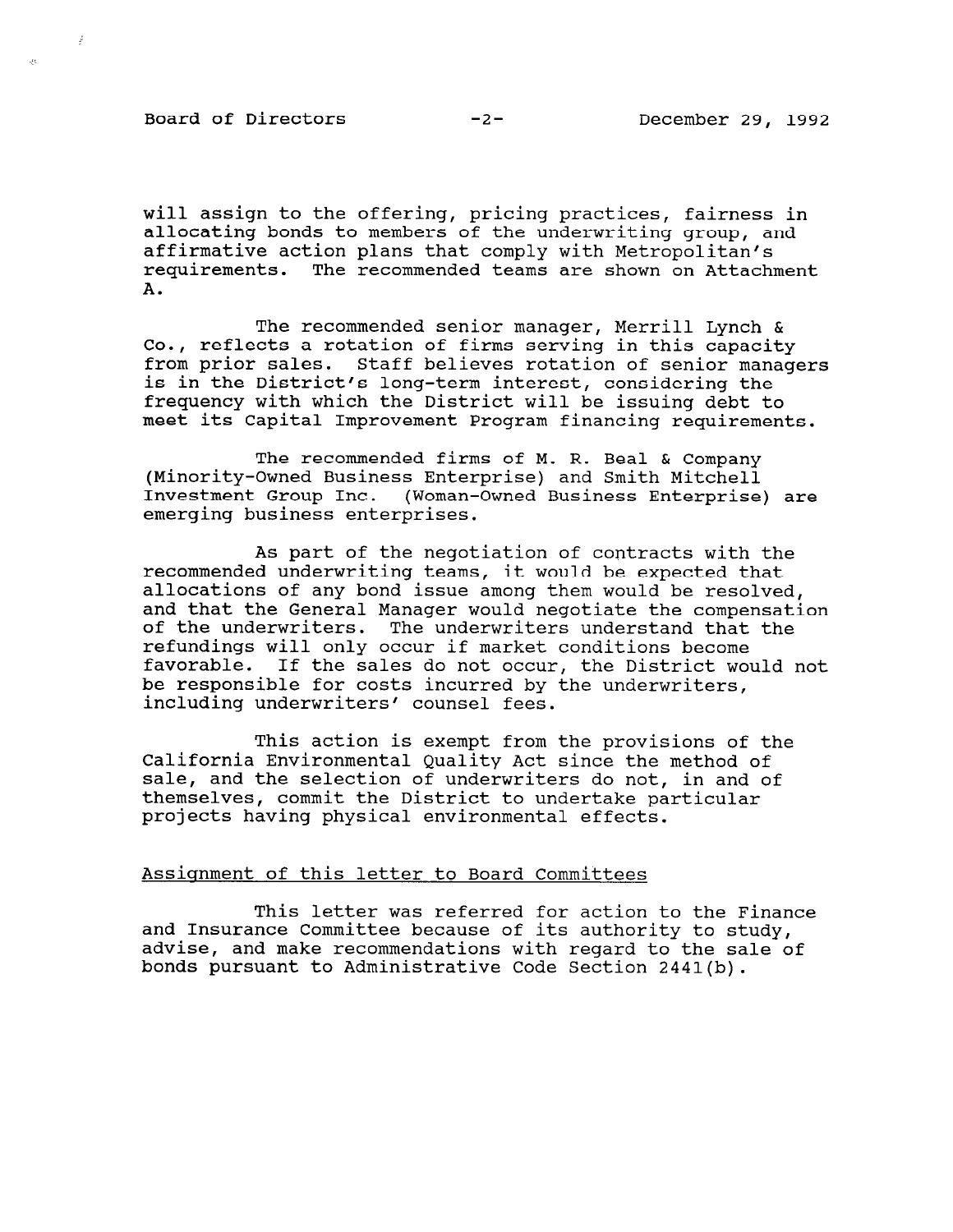Board of Directors -2- December 29, 1992

÷,

will assign to the offering, pricing practices, fairness in allocating bonds to members of the underwriting group, and affirmative action plans that comply with Metropolitan's requirements. The recommended teams are shown on Attachment A.

The recommended senior manager, Merrill Lynch & co., reflects a rotation of firms serving in this capacity from prior sales. Staff believes rotation of senior managers is in the District's long-term interest, considering the frequency with which the District will be issuing debt to meet its Capital Improvement Program financing requirements.

The recommended firms of M. R. Beal & Company (Minority-Owned Business Enterprise) and Smith Mitchell Investment Group Inc. (Woman-Owned Business Enterprise) are emerging business enterprises.

As part of the negotiation of contracts with the recommended underwriting teams, it would be expected that allocations of any bond issue among them would be resolved, and that the General Manager would negotiate the compensation of the underwriters. The underwriters understand that the refundings will only occur if market conditions become favorable. If the sales do not occur, the District would not be responsible for costs incurred by the underwriters, including underwriters' counsel fees.

This action is exempt from the provisions of the California Environmental Quality Act since the method of sale, and the selection of underwriters do not, in and of themselves, commit the District to undertake particular projects having physical environmental effects.

# Assignment of this letter to Board Committees

This letter was referred for action to the Finance and Insurance Committee because of its authority to the line and Insurance Committee because of its authority to study,<br>advise, and make recommendations with regard to the sale of bonds pursuant to Administrative Code Section 2441(b).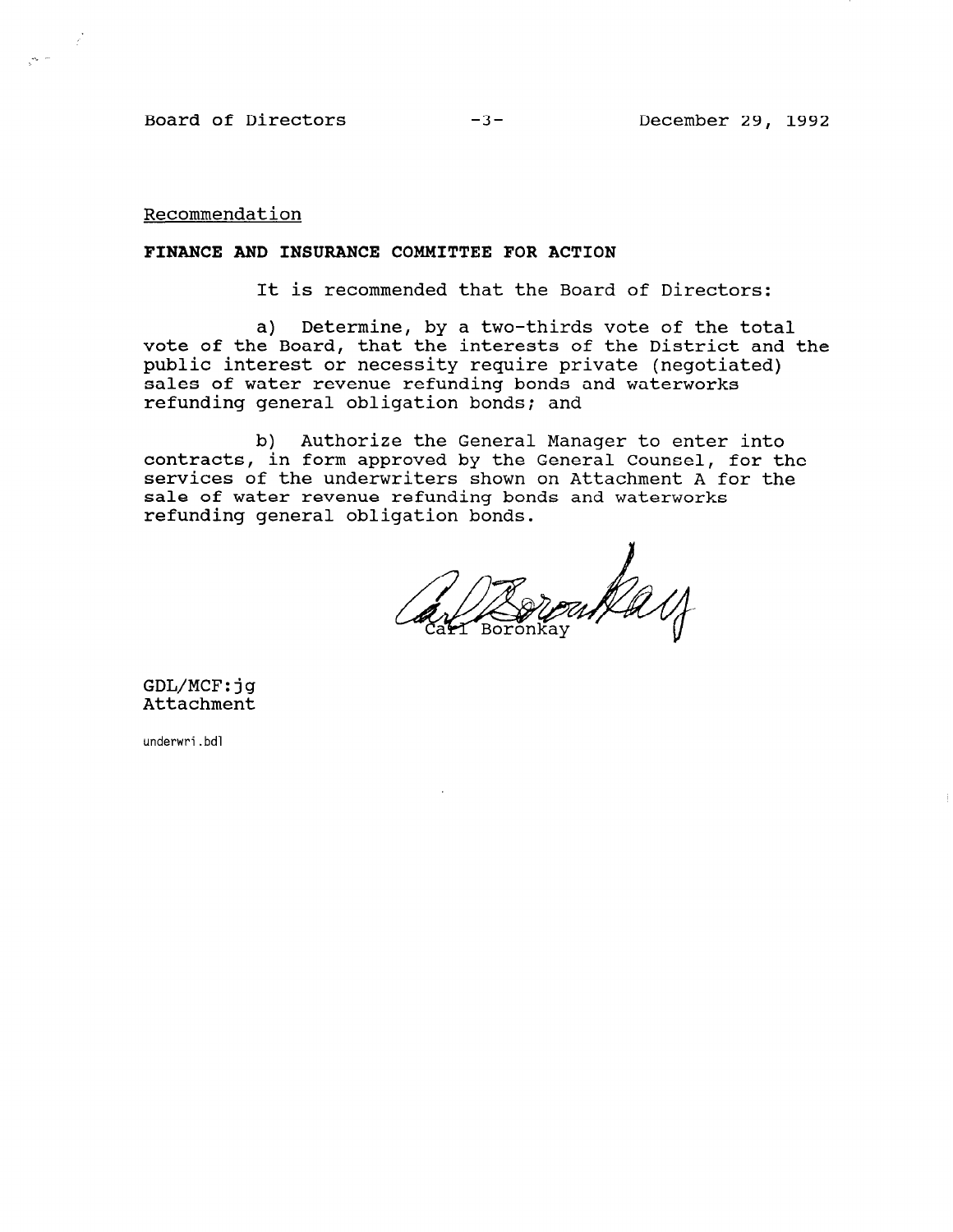Board of Directors -3-

Recommendation

. . -

 $\mathcal{L}$ 

#### FINANCE AND INSURANCE COMMITTEE FOR ACTION

It is recommended that the Board of Directors:

a) Determine, by a two-thirds vote of the total vote of the Board, that the interests of the District and the public interest or necessity require private (negotiated) sales of water revenue refunding bonds and waterworks refunding general obligation bonds; and

b) Authorize the General Manager to enter into contracts, in form approved by the General Counsel, for the services of the underwriters shown on Attachment A for the sale of water revenue refunding bonds and waterworks refunding general obligation bonds.

GDL/MCF:jg Attachment

underwri.bdl